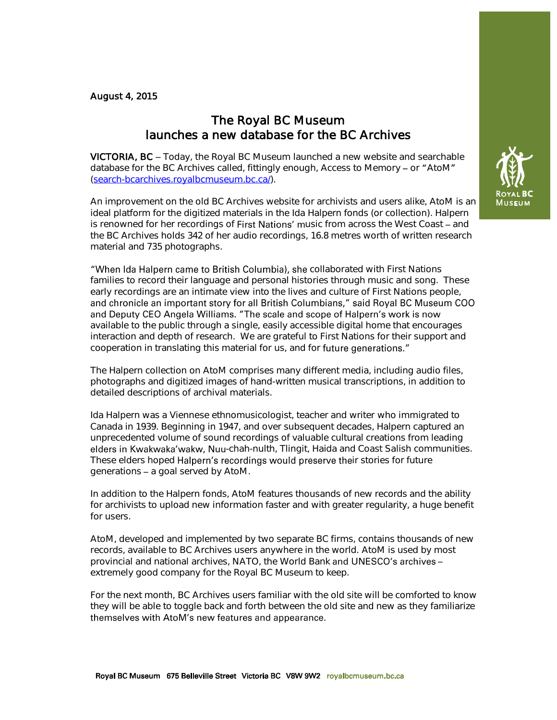## August 4, 2015

## The Royal BC Museum launches a new database for the BC Archives

VICTORIA, BC - Today, the Royal BC Museum launched a new website and searchable database for the BC Archives called, fittingly enough, Access to Memory  $-$  or "AtoM" [\(search-bcarchives.royalbcmuseum.bc.ca/\)](http://search-bcarchives.royalbcmuseum.bc.ca/).

An improvement on the old BC Archives website for archivists and users alike, AtoM is an ideal platform for the digitized materials in the Ida Halpern fonds (or collection). Halpern is renowned for her recordings of First Nations' music from across the West Coast - and the BC Archives holds 342 of her audio recordings, 16.8 metres worth of written research material and 735 photographs.

"When Ida Halpern came to British Columbia), she collaborated with First Nations families to record their language and personal histories through music and song. These early recordings are an intimate view into the lives and culture of First Nations people, and chronicle an important story for all British Columbians," said Royal BC Museum COO and Deputy CEO Angela Williams. "The scale and scope of Halpern's work is now available to the public through a single, easily accessible digital home that encourages interaction and depth of research. We are grateful to First Nations for their support and cooperation in translating this material for us, and for future generations."

The Halpern collection on AtoM comprises many different media, including audio files, photographs and digitized images of hand-written musical transcriptions, in addition to detailed descriptions of archival materials.

Ida Halpern was a Viennese ethnomusicologist, teacher and writer who immigrated to Canada in 1939. Beginning in 1947, and over subsequent decades, Halpern captured an unprecedented volume of sound recordings of valuable cultural creations from leading elders in Kwakwaka'wakw, Nuu-chah-nulth, Tlingit, Haida and Coast Salish communities. These elders hoped Halpern's recordings would preserve their stories for future generations - a goal served by AtoM.

In addition to the Halpern fonds, AtoM features thousands of new records and the ability for archivists to upload new information faster and with greater regularity, a huge benefit for users.

AtoM, developed and implemented by two separate BC firms, contains thousands of new records, available to BC Archives users anywhere in the world. AtoM is used by most provincial and national archives, NATO, the World Bank and UNESCO's archives extremely good company for the Royal BC Museum to keep.

For the next month, BC Archives users familiar with the old site will be comforted to know they will be able to toggle back and forth between the old site and new as they familiarize themselves with AtoM's new features and appearance.